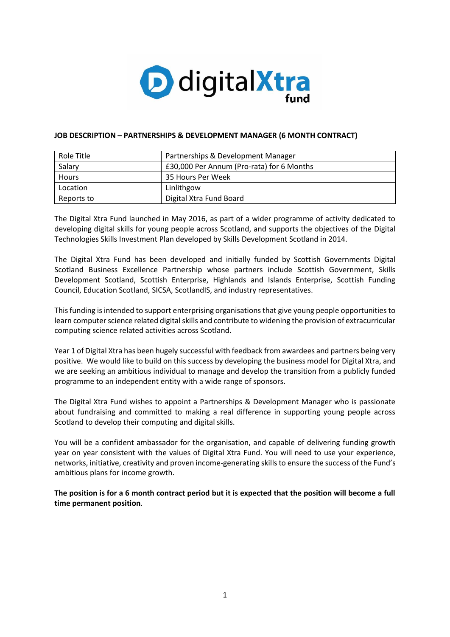

#### **JOB DESCRIPTION – PARTNERSHIPS & DEVELOPMENT MANAGER (6 MONTH CONTRACT)**

| Role Title   | Partnerships & Development Manager        |
|--------------|-------------------------------------------|
| Salary       | £30,000 Per Annum (Pro-rata) for 6 Months |
| <b>Hours</b> | 35 Hours Per Week                         |
| Location     | Linlithgow                                |
| Reports to   | Digital Xtra Fund Board                   |

The Digital Xtra Fund launched in May 2016, as part of a wider programme of activity dedicated to developing digital skills for young people across Scotland, and supports the objectives of the [Digital](http://www.skillsdevelopmentscotland.co.uk/media/35682/ict___digital_technologies_sector_skills_investment_plan.pdf)  [Technologies Skills Investment Plan](http://www.skillsdevelopmentscotland.co.uk/media/35682/ict___digital_technologies_sector_skills_investment_plan.pdf) developed by Skills Development Scotland in 2014.

The Digital Xtra Fund has been developed and initially funded by Scottish Governments Digital Scotland Business Excellence Partnership whose partners include Scottish Government, Skills Development Scotland, Scottish Enterprise, Highlands and Islands Enterprise, Scottish Funding Council, Education Scotland, SICSA, ScotlandIS, and industry representatives.

This funding is intended to support enterprising organisations that give young people opportunities to learn computer science related digital skills and contribute to widening the provision of extracurricular computing science related activities across Scotland.

Year 1 of Digital Xtra has been hugely successful with feedback from awardees and partners being very positive. We would like to build on this success by developing the business model for Digital Xtra, and we are seeking an ambitious individual to manage and develop the transition from a publicly funded programme to an independent entity with a wide range of sponsors.

The Digital Xtra Fund wishes to appoint a Partnerships & Development Manager who is passionate about fundraising and committed to making a real difference in supporting young people across Scotland to develop their computing and digital skills.

You will be a confident ambassador for the organisation, and capable of delivering funding growth year on year consistent with the values of Digital Xtra Fund. You will need to use your experience, networks, initiative, creativity and proven income-generating skills to ensure the success of the Fund's ambitious plans for income growth.

**The position is for a 6 month contract period but it is expected that the position will become a full time permanent position**.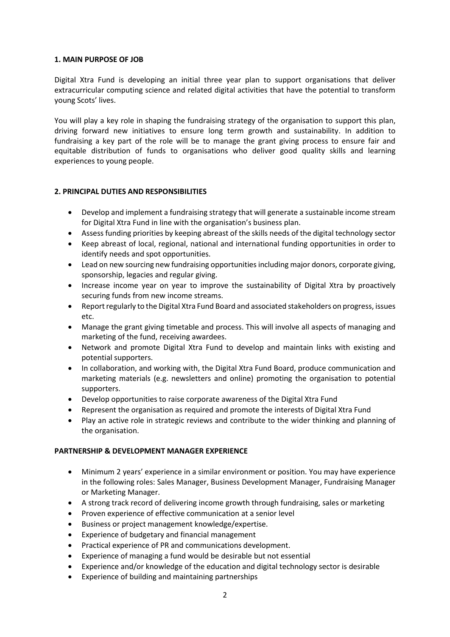#### **1. MAIN PURPOSE OF JOB**

Digital Xtra Fund is developing an initial three year plan to support organisations that deliver extracurricular computing science and related digital activities that have the potential to transform young Scots' lives.

You will play a key role in shaping the fundraising strategy of the organisation to support this plan, driving forward new initiatives to ensure long term growth and sustainability. In addition to fundraising a key part of the role will be to manage the grant giving process to ensure fair and equitable distribution of funds to organisations who deliver good quality skills and learning experiences to young people.

## **2. PRINCIPAL DUTIES AND RESPONSIBILITIES**

- Develop and implement a fundraising strategy that will generate a sustainable income stream for Digital Xtra Fund in line with the organisation's business plan.
- Assess funding priorities by keeping abreast of the skills needs of the digital technology sector
- Keep abreast of local, regional, national and international funding opportunities in order to identify needs and spot opportunities.
- Lead on new sourcing new fundraising opportunities including major donors, corporate giving, sponsorship, legacies and regular giving.
- Increase income year on year to improve the sustainability of Digital Xtra by proactively securing funds from new income streams.
- Report regularly to the Digital Xtra Fund Board and associated stakeholders on progress, issues etc.
- Manage the grant giving timetable and process. This will involve all aspects of managing and marketing of the fund, receiving awardees.
- Network and promote Digital Xtra Fund to develop and maintain links with existing and potential supporters.
- In collaboration, and working with, the Digital Xtra Fund Board, produce communication and marketing materials (e.g. newsletters and online) promoting the organisation to potential supporters.
- Develop opportunities to raise corporate awareness of the Digital Xtra Fund
- Represent the organisation as required and promote the interests of Digital Xtra Fund
- Play an active role in strategic reviews and contribute to the wider thinking and planning of the organisation.

#### **PARTNERSHIP & DEVELOPMENT MANAGER EXPERIENCE**

- Minimum 2 years' experience in a similar environment or position. You may have experience in the following roles: Sales Manager, Business Development Manager, Fundraising Manager or Marketing Manager.
- A strong track record of delivering income growth through fundraising, sales or marketing
- Proven experience of effective communication at a senior level
- Business or project management knowledge/expertise.
- Experience of budgetary and financial management
- Practical experience of PR and communications development.
- Experience of managing a fund would be desirable but not essential
- Experience and/or knowledge of the education and digital technology sector is desirable
- Experience of building and maintaining partnerships